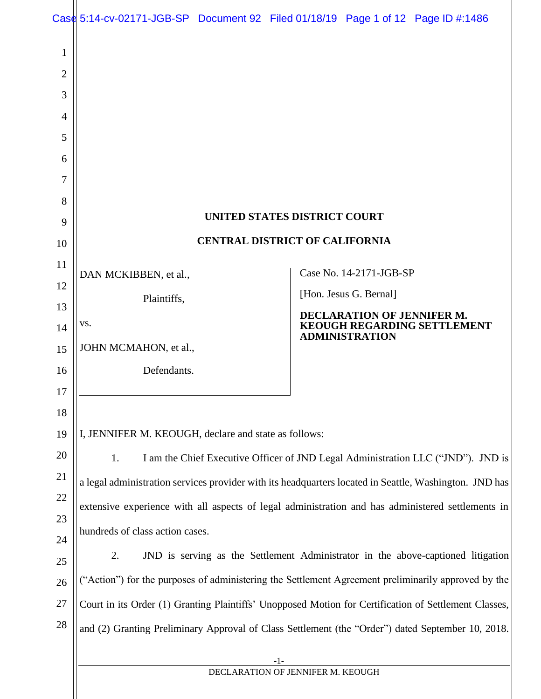|                     | Case 5:14-cv-02171-JGB-SP Document 92 Filed 01/18/19 Page 1 of 12 Page ID #:1486                       |  |                                       |                                   |                                    |  |
|---------------------|--------------------------------------------------------------------------------------------------------|--|---------------------------------------|-----------------------------------|------------------------------------|--|
| 1<br>$\overline{2}$ |                                                                                                        |  |                                       |                                   |                                    |  |
| 3<br>4              |                                                                                                        |  |                                       |                                   |                                    |  |
| 5                   |                                                                                                        |  |                                       |                                   |                                    |  |
| 6                   |                                                                                                        |  |                                       |                                   |                                    |  |
| 7                   |                                                                                                        |  |                                       |                                   |                                    |  |
| 8                   |                                                                                                        |  |                                       |                                   |                                    |  |
| 9                   |                                                                                                        |  | UNITED STATES DISTRICT COURT          |                                   |                                    |  |
| 10                  |                                                                                                        |  | <b>CENTRAL DISTRICT OF CALIFORNIA</b> |                                   |                                    |  |
| 11                  | DAN MCKIBBEN, et al.,                                                                                  |  |                                       | Case No. 14-2171-JGB-SP           |                                    |  |
| 12                  | Plaintiffs,                                                                                            |  |                                       | [Hon. Jesus G. Bernal]            |                                    |  |
| 13                  | VS.                                                                                                    |  |                                       | <b>DECLARATION OF JENNIFER M.</b> |                                    |  |
| 14                  | JOHN MCMAHON, et al.,                                                                                  |  |                                       | <b>ADMINISTRATION</b>             | <b>KEOUGH REGARDING SETTLEMENT</b> |  |
| 15<br>16            | Defendants.                                                                                            |  |                                       |                                   |                                    |  |
| 17                  |                                                                                                        |  |                                       |                                   |                                    |  |
| 18                  |                                                                                                        |  |                                       |                                   |                                    |  |
| 19                  | I, JENNIFER M. KEOUGH, declare and state as follows:                                                   |  |                                       |                                   |                                    |  |
| 20                  | I am the Chief Executive Officer of JND Legal Administration LLC ("JND"). JND is<br>1.                 |  |                                       |                                   |                                    |  |
| 21                  | a legal administration services provider with its headquarters located in Seattle, Washington. JND has |  |                                       |                                   |                                    |  |
| 22                  | extensive experience with all aspects of legal administration and has administered settlements in      |  |                                       |                                   |                                    |  |
| 23                  |                                                                                                        |  |                                       |                                   |                                    |  |
| 24                  | hundreds of class action cases.                                                                        |  |                                       |                                   |                                    |  |
| 25                  | 2.<br>JND is serving as the Settlement Administrator in the above-captioned litigation                 |  |                                       |                                   |                                    |  |
| 26                  | ("Action") for the purposes of administering the Settlement Agreement preliminarily approved by the    |  |                                       |                                   |                                    |  |
| 27                  | Court in its Order (1) Granting Plaintiffs' Unopposed Motion for Certification of Settlement Classes,  |  |                                       |                                   |                                    |  |
| 28                  | and (2) Granting Preliminary Approval of Class Settlement (the "Order") dated September 10, 2018.      |  |                                       |                                   |                                    |  |
|                     | -1-                                                                                                    |  |                                       |                                   |                                    |  |
|                     |                                                                                                        |  | DECLARATION OF JENNIFER M. KEOUGH     |                                   |                                    |  |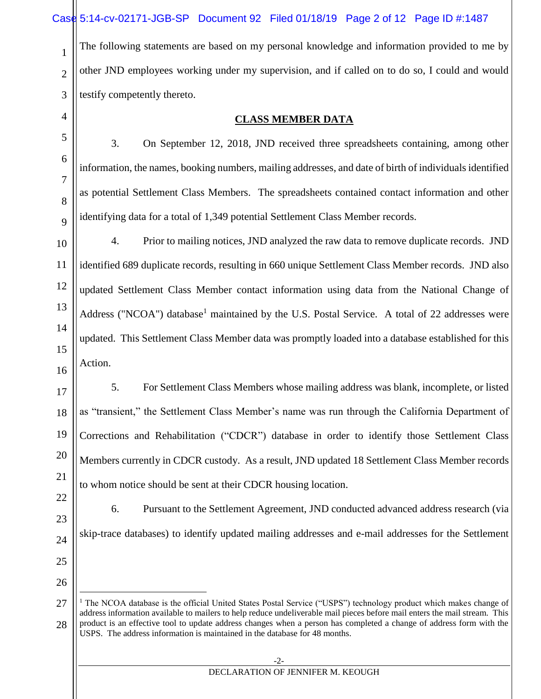The following statements are based on my personal knowledge and information provided to me by other JND employees working under my supervision, and if called on to do so, I could and would testify competently thereto.

**CLASS MEMBER DATA**

3. On September 12, 2018, JND received three spreadsheets containing, among other information, the names, booking numbers, mailing addresses, and date of birth of individuals identified as potential Settlement Class Members. The spreadsheets contained contact information and other identifying data for a total of 1,349 potential Settlement Class Member records.

4. Prior to mailing notices, JND analyzed the raw data to remove duplicate records. JND identified 689 duplicate records, resulting in 660 unique Settlement Class Member records. JND also updated Settlement Class Member contact information using data from the National Change of Address ("NCOA") database<sup>1</sup> maintained by the U.S. Postal Service. A total of 22 addresses were updated. This Settlement Class Member data was promptly loaded into a database established for this Action.

5. For Settlement Class Members whose mailing address was blank, incomplete, or listed as "transient," the Settlement Class Member's name was run through the California Department of Corrections and Rehabilitation ("CDCR") database in order to identify those Settlement Class Members currently in CDCR custody. As a result, JND updated 18 Settlement Class Member records to whom notice should be sent at their CDCR housing location.

22 23

1

2

3

4

5

6

7

8

 $\overline{Q}$ 

10

11

12

13

14

15

16

17

18

19

20

21

6. Pursuant to the Settlement Agreement, JND conducted advanced address research (via skip-trace databases) to identify updated mailing addresses and e-mail addresses for the Settlement

25 26

l

24

<sup>27</sup> 28 <sup>1</sup> The NCOA database is the official United States Postal Service ("USPS") technology product which makes change of address information available to mailers to help reduce undeliverable mail pieces before mail enters the mail stream. This product is an effective tool to update address changes when a person has completed a change of address form with the USPS. The address information is maintained in the database for 48 months.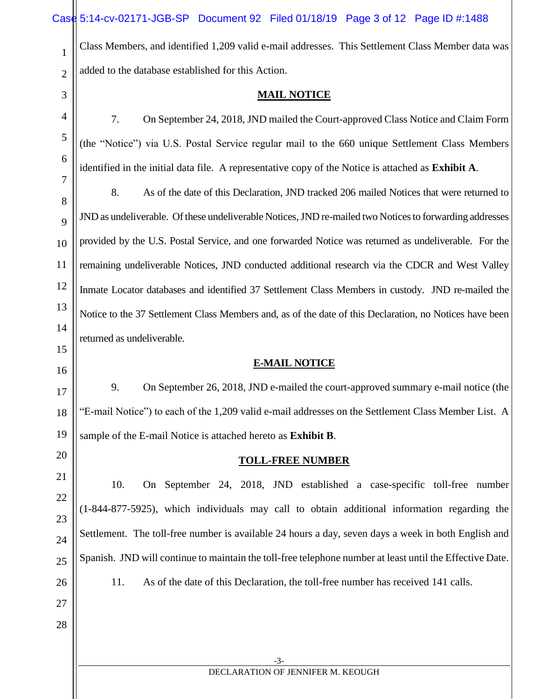|                | Case 5:14-cv-02171-JGB-SP Document 92 Filed 01/18/19 Page 3 of 12 Page ID #:1488                         |  |  |  |  |  |
|----------------|----------------------------------------------------------------------------------------------------------|--|--|--|--|--|
| $\mathbf{1}$   | Class Members, and identified 1,209 valid e-mail addresses. This Settlement Class Member data was        |  |  |  |  |  |
| $\overline{2}$ | added to the database established for this Action.                                                       |  |  |  |  |  |
| 3              | <b>MAIL NOTICE</b>                                                                                       |  |  |  |  |  |
| 4              | On September 24, 2018, JND mailed the Court-approved Class Notice and Claim Form<br>7.                   |  |  |  |  |  |
| 5              | (the "Notice") via U.S. Postal Service regular mail to the 660 unique Settlement Class Members           |  |  |  |  |  |
| 6              | identified in the initial data file. A representative copy of the Notice is attached as Exhibit A.       |  |  |  |  |  |
| 7<br>8         | 8.<br>As of the date of this Declaration, JND tracked 206 mailed Notices that were returned to           |  |  |  |  |  |
| 9              | JND as undeliverable. Of these undeliverable Notices, JND re-mailed two Notices to forwarding addresses  |  |  |  |  |  |
| 10             | provided by the U.S. Postal Service, and one forwarded Notice was returned as undeliverable. For the     |  |  |  |  |  |
| 11             | remaining undeliverable Notices, JND conducted additional research via the CDCR and West Valley          |  |  |  |  |  |
| 12             | Inmate Locator databases and identified 37 Settlement Class Members in custody. JND re-mailed the        |  |  |  |  |  |
| 13             | Notice to the 37 Settlement Class Members and, as of the date of this Declaration, no Notices have been  |  |  |  |  |  |
| 14             | returned as undeliverable.                                                                               |  |  |  |  |  |
| 15             | <b>E-MAIL NOTICE</b>                                                                                     |  |  |  |  |  |
|                |                                                                                                          |  |  |  |  |  |
| 16<br>17       | 9.<br>On September 26, 2018, JND e-mailed the court-approved summary e-mail notice (the                  |  |  |  |  |  |
| 18             | "E-mail Notice") to each of the 1,209 valid e-mail addresses on the Settlement Class Member List. A      |  |  |  |  |  |
| 19             | sample of the E-mail Notice is attached hereto as Exhibit B.                                             |  |  |  |  |  |
| 20             | <b>TOLL-FREE NUMBER</b>                                                                                  |  |  |  |  |  |
| 21             | 10.<br>On September 24, 2018, JND established a case-specific toll-free number                           |  |  |  |  |  |
| 22             | (1-844-877-5925), which individuals may call to obtain additional information regarding the              |  |  |  |  |  |
| 23             | Settlement. The toll-free number is available 24 hours a day, seven days a week in both English and      |  |  |  |  |  |
| 24<br>25       | Spanish. JND will continue to maintain the toll-free telephone number at least until the Effective Date. |  |  |  |  |  |
| 26             | 11.<br>As of the date of this Declaration, the toll-free number has received 141 calls.                  |  |  |  |  |  |
| 27             |                                                                                                          |  |  |  |  |  |
| 28             |                                                                                                          |  |  |  |  |  |
|                | -3-                                                                                                      |  |  |  |  |  |
|                | DECLARATION OF JENNIFER M. KEOUGH                                                                        |  |  |  |  |  |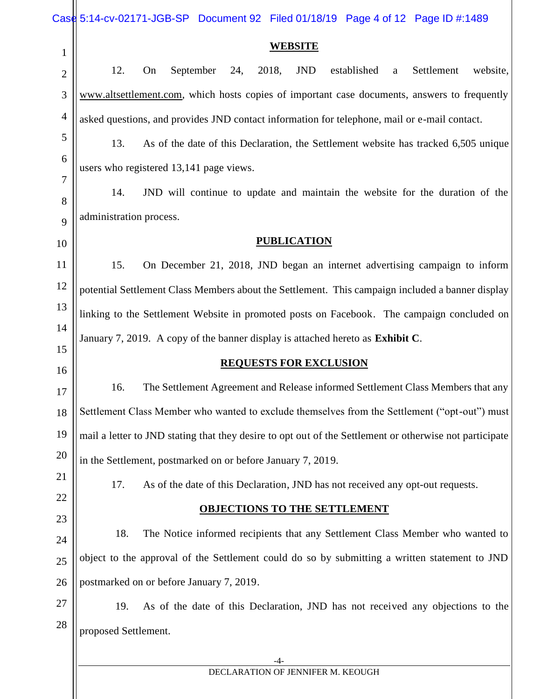|                | Case 5:14-cv-02171-JGB-SP Document 92 Filed 01/18/19 Page 4 of 12 Page ID #:1489                        |  |  |  |  |  |
|----------------|---------------------------------------------------------------------------------------------------------|--|--|--|--|--|
| $\mathbf{1}$   | <b>WEBSITE</b>                                                                                          |  |  |  |  |  |
| $\overline{2}$ | 12.<br>On<br>September<br>24,<br>2018,<br><b>JND</b><br>established<br>Settlement<br>website,<br>a      |  |  |  |  |  |
| 3              | www.altsettlement.com, which hosts copies of important case documents, answers to frequently            |  |  |  |  |  |
| $\overline{4}$ | asked questions, and provides JND contact information for telephone, mail or e-mail contact.            |  |  |  |  |  |
| 5              | 13.<br>As of the date of this Declaration, the Settlement website has tracked 6,505 unique              |  |  |  |  |  |
| 6              | users who registered 13,141 page views.                                                                 |  |  |  |  |  |
| 7              | JND will continue to update and maintain the website for the duration of the<br>14.                     |  |  |  |  |  |
| 8<br>9         | administration process.                                                                                 |  |  |  |  |  |
| 10             | <b>PUBLICATION</b>                                                                                      |  |  |  |  |  |
| 11             | 15.<br>On December 21, 2018, JND began an internet advertising campaign to inform                       |  |  |  |  |  |
| 12             | potential Settlement Class Members about the Settlement. This campaign included a banner display        |  |  |  |  |  |
| 13             |                                                                                                         |  |  |  |  |  |
| 14             | linking to the Settlement Website in promoted posts on Facebook. The campaign concluded on              |  |  |  |  |  |
| 15             | January 7, 2019. A copy of the banner display is attached hereto as Exhibit C.                          |  |  |  |  |  |
| 16             | <b>REQUESTS FOR EXCLUSION</b>                                                                           |  |  |  |  |  |
| 17             | The Settlement Agreement and Release informed Settlement Class Members that any<br>16.                  |  |  |  |  |  |
| 18             | Settlement Class Member who wanted to exclude themselves from the Settlement ("opt-out") must           |  |  |  |  |  |
| 19             | mail a letter to JND stating that they desire to opt out of the Settlement or otherwise not participate |  |  |  |  |  |
| 20             | in the Settlement, postmarked on or before January 7, 2019.                                             |  |  |  |  |  |
| 21             | 17.<br>As of the date of this Declaration, JND has not received any opt-out requests.                   |  |  |  |  |  |
| 22             | <b>OBJECTIONS TO THE SETTLEMENT</b>                                                                     |  |  |  |  |  |
| 23             | The Notice informed recipients that any Settlement Class Member who wanted to<br>18.                    |  |  |  |  |  |
| 24<br>25       | object to the approval of the Settlement could do so by submitting a written statement to JND           |  |  |  |  |  |
| 26             | postmarked on or before January 7, 2019.                                                                |  |  |  |  |  |
| $27\,$         | As of the date of this Declaration, JND has not received any objections to the<br>19.                   |  |  |  |  |  |
| 28             |                                                                                                         |  |  |  |  |  |
|                | proposed Settlement.                                                                                    |  |  |  |  |  |
|                | -4-                                                                                                     |  |  |  |  |  |

DECLARATION OF JENNIFER M. KEOUGH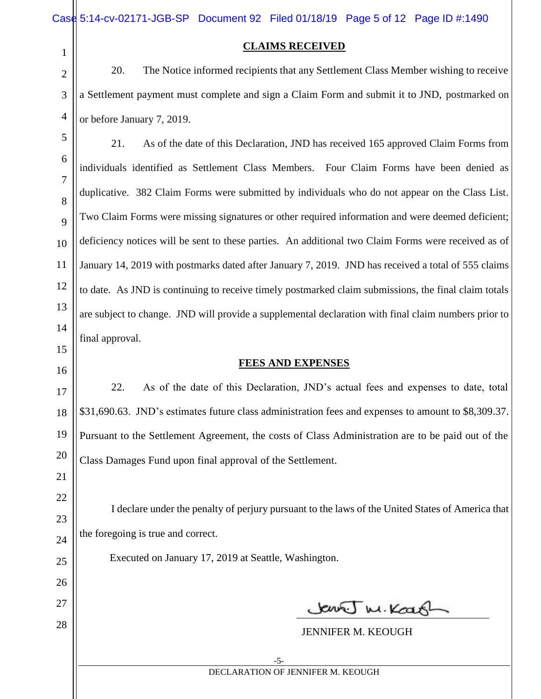| Case 5:14-cv-02171-JGB-SP Document 92 Filed 01/18/19 Page 5 of 12 Page ID #:1490 |  |  |
|----------------------------------------------------------------------------------|--|--|

1

2

3

4

5

6

7

8

 $\overline{Q}$ 

10

11

12

13

14

15

16

17

18

19

20

21

22

23

24

25

26

27

28

#### **CLAIMS RECEIVED**

20. The Notice informed recipients that any Settlement Class Member wishing to receive a Settlement payment must complete and sign a Claim Form and submit it to JND, postmarked on or before January 7, 2019.

21. As of the date of this Declaration, JND has received 165 approved Claim Forms from individuals identified as Settlement Class Members. Four Claim Forms have been denied as duplicative. 382 Claim Forms were submitted by individuals who do not appear on the Class List. Two Claim Forms were missing signatures or other required information and were deemed deficient; deficiency notices will be sent to these parties. An additional two Claim Forms were received as of January 14, 2019 with postmarks dated after January 7, 2019. JND has received a total of 555 claims to date. As JND is continuing to receive timely postmarked claim submissions, the final claim totals are subject to change. JND will provide a supplemental declaration with final claim numbers prior to final approval.

#### **FEES AND EXPENSES**

22. As of the date of this Declaration, JND's actual fees and expenses to date, total \$31,690.63. JND's estimates future class administration fees and expenses to amount to \$8,309.37. Pursuant to the Settlement Agreement, the costs of Class Administration are to be paid out of the Class Damages Fund upon final approval of the Settlement.

I declare under the penalty of perjury pursuant to the laws of the United States of America that the foregoing is true and correct.

Executed on January 17, 2019 at Seattle, Washington.

Save M. Koan

JENNIFER M. KEOUGH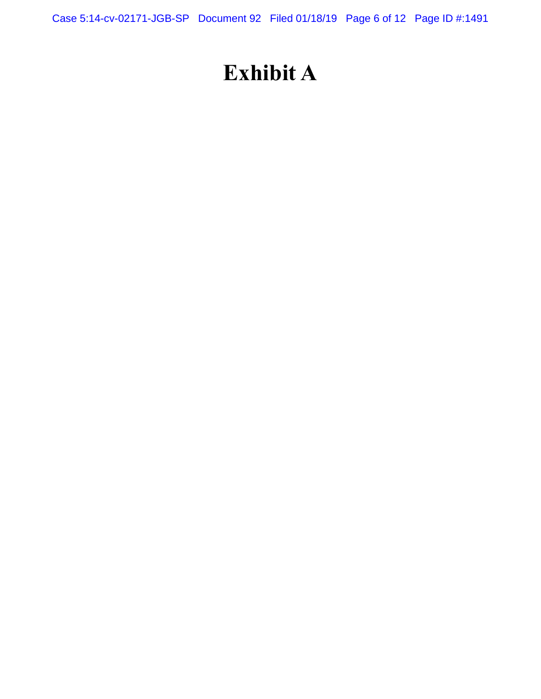Case 5:14-cv-02171-JGB-SP Document 92 Filed 01/18/19 Page 6 of 12 Page ID #:1491

# **Exhibit A**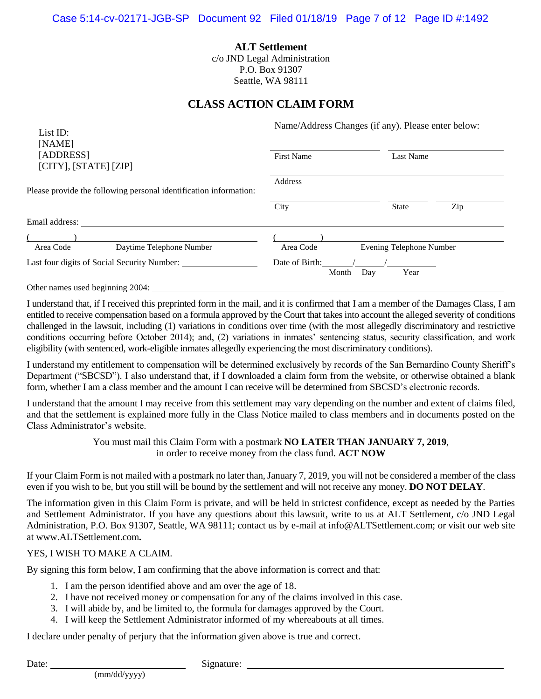**ALT Settlement** c/o JND Legal Administration P.O. Box 91307 Seattle, WA 98111

### **CLASS ACTION CLAIM FORM**

| List ID:                                                          | Name/Address Changes (if any). Please enter below: |                          |     |  |  |
|-------------------------------------------------------------------|----------------------------------------------------|--------------------------|-----|--|--|
| [NAME]<br>[ADDRESS]<br>$[CITY]$ , $[STATE]$ $[ZIP]$               | <b>First Name</b><br>Last Name                     |                          |     |  |  |
| Please provide the following personal identification information: | Address                                            |                          |     |  |  |
|                                                                   | City                                               | <b>State</b>             | Zip |  |  |
| Email address:                                                    |                                                    |                          |     |  |  |
|                                                                   |                                                    |                          |     |  |  |
| Area Code<br>Daytime Telephone Number                             | Area Code                                          | Evening Telephone Number |     |  |  |
| Last four digits of Social Security Number:                       | Date of Birth:<br>Month<br>Day                     | Year                     |     |  |  |

Other names used beginning 2004:

I understand that, if I received this preprinted form in the mail, and it is confirmed that I am a member of the Damages Class, I am entitled to receive compensation based on a formula approved by the Court that takes into account the alleged severity of conditions challenged in the lawsuit, including (1) variations in conditions over time (with the most allegedly discriminatory and restrictive conditions occurring before October 2014); and, (2) variations in inmates' sentencing status, security classification, and work eligibility (with sentenced, work-eligible inmates allegedly experiencing the most discriminatory conditions).

I understand my entitlement to compensation will be determined exclusively by records of the San Bernardino County Sheriff's Department ("SBCSD"). I also understand that, if I downloaded a claim form from the website, or otherwise obtained a blank form, whether I am a class member and the amount I can receive will be determined from SBCSD's electronic records.

I understand that the amount I may receive from this settlement may vary depending on the number and extent of claims filed, and that the settlement is explained more fully in the Class Notice mailed to class members and in documents posted on the Class Administrator's website.

> You must mail this Claim Form with a postmark **NO LATER THAN JANUARY 7, 2019**, in order to receive money from the class fund. **ACT NOW**

If your Claim Form is not mailed with a postmark no later than, January 7, 2019, you will not be considered a member of the class even if you wish to be, but you still will be bound by the settlement and will not receive any money. **DO NOT DELAY**.

The information given in this Claim Form is private, and will be held in strictest confidence, except as needed by the Parties and Settlement Administrator. If you have any questions about this lawsuit, write to us at ALT Settlement, c/o JND Legal Administration, P.O. Box 91307, Seattle, WA 98111; contact us by e-mail at info@ALTSettlement.com; or visit our web site at www.ALTSettlement.com**.**

#### YES, I WISH TO MAKE A CLAIM.

By signing this form below, I am confirming that the above information is correct and that:

- 1. I am the person identified above and am over the age of 18.
- 2. I have not received money or compensation for any of the claims involved in this case.
- 3. I will abide by, and be limited to, the formula for damages approved by the Court.
- 4. I will keep the Settlement Administrator informed of my whereabouts at all times.

I declare under penalty of perjury that the information given above is true and correct.

Date: Signature: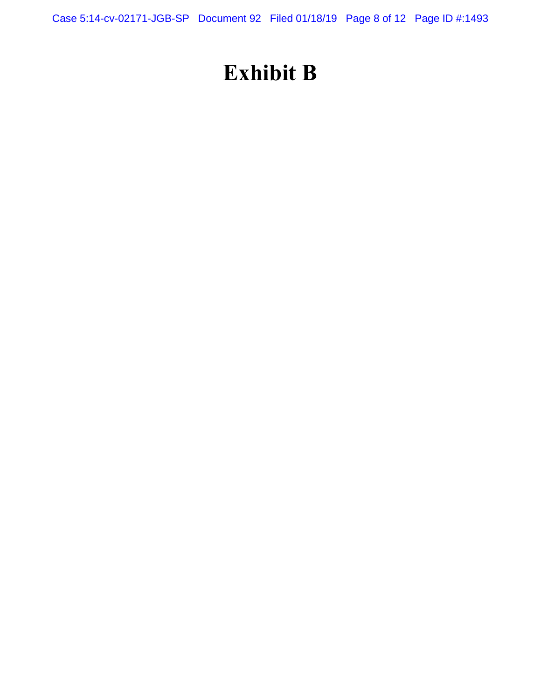Case 5:14-cv-02171-JGB-SP Document 92 Filed 01/18/19 Page 8 of 12 Page ID #:1493

# **Exhibit B**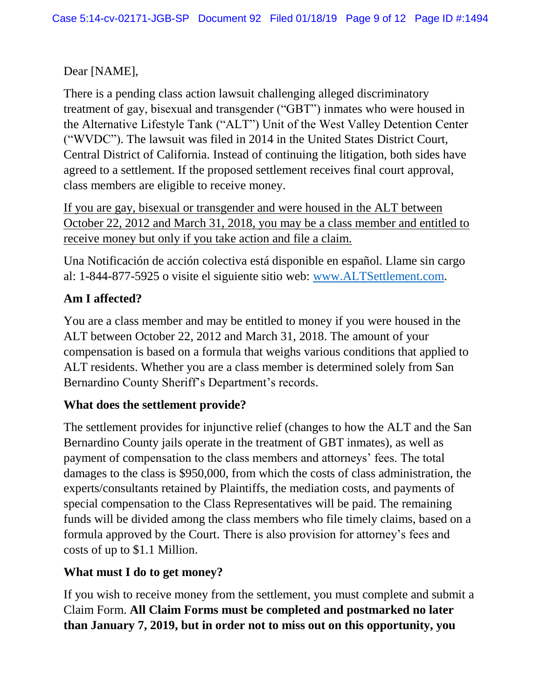Dear [NAME],

There is a pending class action lawsuit challenging alleged discriminatory treatment of gay, bisexual and transgender ("GBT") inmates who were housed in the Alternative Lifestyle Tank ("ALT") Unit of the West Valley Detention Center ("WVDC"). The lawsuit was filed in 2014 in the United States District Court, Central District of California. Instead of continuing the litigation, both sides have agreed to a settlement. If the proposed settlement receives final court approval, class members are eligible to receive money.

If you are gay, bisexual or transgender and were housed in the ALT between October 22, 2012 and March 31, 2018, you may be a class member and entitled to receive money but only if you take action and file a claim.

Una Notificación de acción colectiva está disponible en español. Llame sin cargo al: 1-844-877-5925 o visite el siguiente sitio web: [www.ALTSettlement.com.](http://www.altsettlement.com/)

## **Am I affected?**

You are a class member and may be entitled to money if you were housed in the ALT between October 22, 2012 and March 31, 2018. The amount of your compensation is based on a formula that weighs various conditions that applied to ALT residents. Whether you are a class member is determined solely from San Bernardino County Sheriff's Department's records.

## **What does the settlement provide?**

The settlement provides for injunctive relief (changes to how the ALT and the San Bernardino County jails operate in the treatment of GBT inmates), as well as payment of compensation to the class members and attorneys' fees. The total damages to the class is \$950,000, from which the costs of class administration, the experts/consultants retained by Plaintiffs, the mediation costs, and payments of special compensation to the Class Representatives will be paid. The remaining funds will be divided among the class members who file timely claims, based on a formula approved by the Court. There is also provision for attorney's fees and costs of up to \$1.1 Million.

## **What must I do to get money?**

If you wish to receive money from the settlement, you must complete and submit a Claim Form. **All Claim Forms must be completed and postmarked no later than January 7, 2019, but in order not to miss out on this opportunity, you**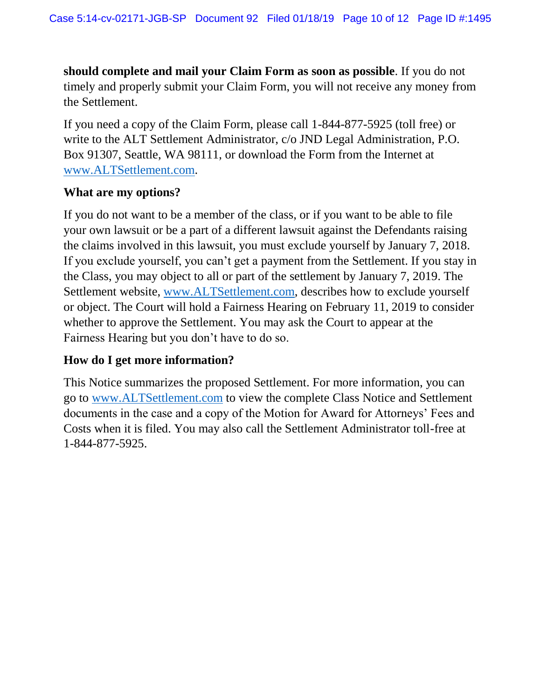**should complete and mail your Claim Form as soon as possible**. If you do not timely and properly submit your Claim Form, you will not receive any money from the Settlement.

If you need a copy of the Claim Form, please call 1-844-877-5925 (toll free) or write to the ALT Settlement Administrator, c/o JND Legal Administration, P.O. Box 91307, Seattle, WA 98111, or download the Form from the Internet at [www.ALTSettlement.com.](http://www.altsettlement.com/)

### **What are my options?**

If you do not want to be a member of the class, or if you want to be able to file your own lawsuit or be a part of a different lawsuit against the Defendants raising the claims involved in this lawsuit, you must exclude yourself by January 7, 2018. If you exclude yourself, you can't get a payment from the Settlement. If you stay in the Class, you may object to all or part of the settlement by January 7, 2019. The Settlement website, [www.ALTSettlement.com,](http://www.altsettlement.com/) describes how to exclude yourself or object. The Court will hold a Fairness Hearing on February 11, 2019 to consider whether to approve the Settlement. You may ask the Court to appear at the Fairness Hearing but you don't have to do so.

### **How do I get more information?**

This Notice summarizes the proposed Settlement. For more information, you can go to [www.ALTSettlement.com](http://www.altsettlement.com/) to view the complete Class Notice and Settlement documents in the case and a copy of the Motion for Award for Attorneys' Fees and Costs when it is filed. You may also call the Settlement Administrator toll-free at 1-844-877-5925.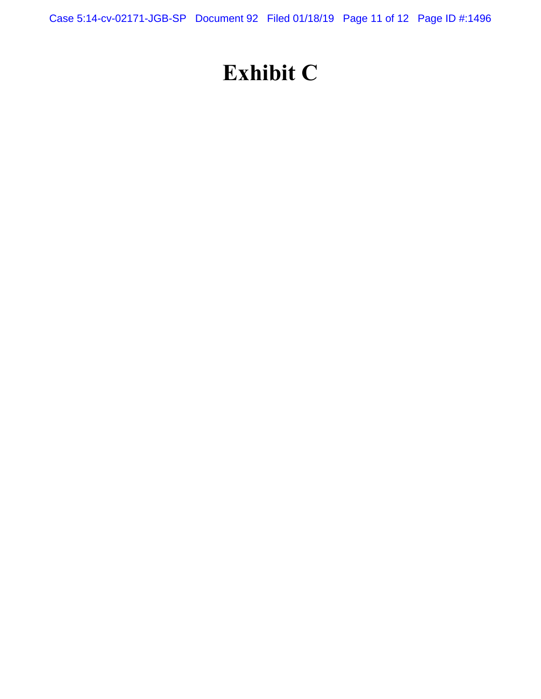Case 5:14-cv-02171-JGB-SP Document 92 Filed 01/18/19 Page 11 of 12 Page ID #:1496

# **Exhibit C**